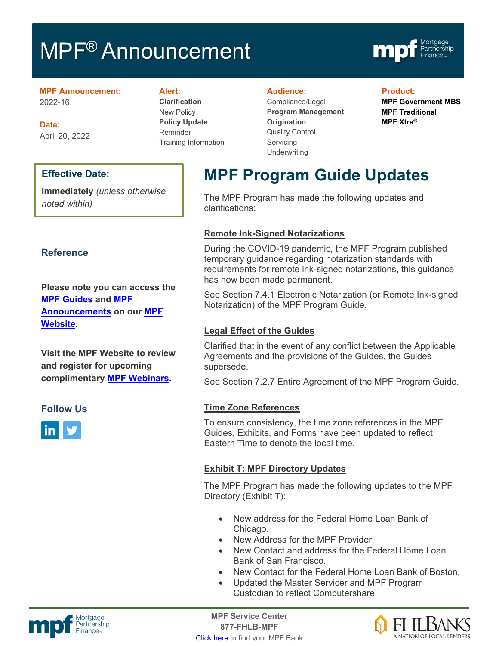# **MPF<sup>®</sup> Announcement**



#### **MPF Announcement:** 2022-16

**Date:** April 20, 2022

# **Effective Date:**

**Immediately** *(unless otherwise noted within)*

# **Reference**

**Please note you can access the [MPF Guides](https://fhlbmpf.com/mpf-guides/guides) and [MPF](https://fhlbmpf.com/mpf-guides/announcements)  [Announcements](https://fhlbmpf.com/mpf-guides/announcements) on our [MPF](https://fhlbmpf.com/)  [Website.](https://fhlbmpf.com/)** 

**Visit the MPF Website to review and register for upcoming complimentary [MPF Webinars.](https://www.fhlbmpf.com/education/upcoming-webinars)**

# **Follow Us**



#### **Alert:**

**Clarification** New Policy **Policy Update** Reminder Training Information

#### **Audience:**

Compliance/Legal **Program Management Origination**  Quality Control **Servicing Underwriting** 

#### **Product:**

**MPF Government MBS MPF Traditional MPF Xtra®**

# **MPF Program Guide Updates**

The MPF Program has made the following updates and clarifications:

# **Remote Ink-Signed Notarizations**

During the COVID-19 pandemic, the MPF Program published temporary guidance regarding notarization standards with requirements for remote ink-signed notarizations, this guidance has now been made permanent.

See Section 7.4.1 Electronic Notarization (or Remote Ink-signed Notarization) of the MPF Program Guide.

# **Legal Effect of the Guides**

Clarified that in the event of any conflict between the Applicable Agreements and the provisions of the Guides, the Guides supersede.

See Section 7.2.7 Entire Agreement of the MPF Program Guide.

# **Time Zone References**

To ensure consistency, the time zone references in the MPF Guides, Exhibits, and Forms have been updated to reflect Eastern Time to denote the local time.

# **Exhibit T: MPF Directory Updates**

The MPF Program has made the following updates to the MPF Directory (Exhibit T):

- New address for the Federal Home Loan Bank of Chicago.
- New Address for the MPF Provider.
- New Contact and address for the Federal Home Loan Bank of San Francisco.
- New Contact for the Federal Home Loan Bank of Boston.
- Updated the Master Servicer and MPF Program Custodian to reflect Computershare.



Mortgage **Center Service Center**<br>Partnership **Canadian Center Service Center**<br> **Partnership 877-FHLB-MPF** [Click here](https://www.fhlbmpf.com/fhlbanks/fhlbanks) to find your MPF Bank